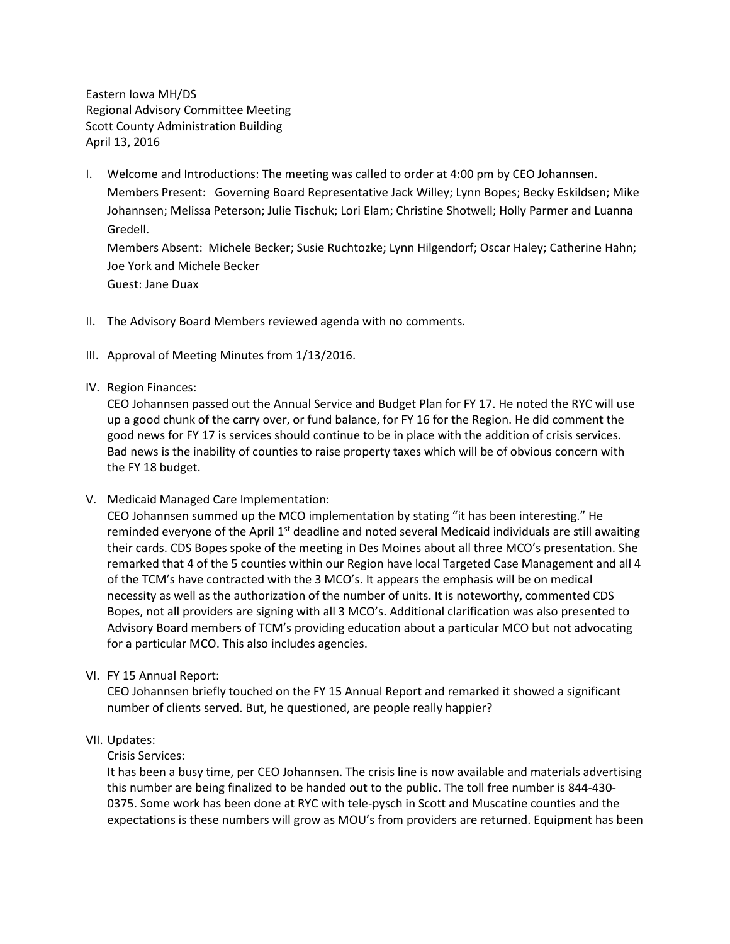Eastern Iowa MH/DS Regional Advisory Committee Meeting Scott County Administration Building April 13, 2016

I. Welcome and Introductions: The meeting was called to order at 4:00 pm by CEO Johannsen. Members Present: Governing Board Representative Jack Willey; Lynn Bopes; Becky Eskildsen; Mike Johannsen; Melissa Peterson; Julie Tischuk; Lori Elam; Christine Shotwell; Holly Parmer and Luanna Gredell.

Members Absent: Michele Becker; Susie Ruchtozke; Lynn Hilgendorf; Oscar Haley; Catherine Hahn; Joe York and Michele Becker Guest: Jane Duax

- II. The Advisory Board Members reviewed agenda with no comments.
- III. Approval of Meeting Minutes from 1/13/2016.
- IV. Region Finances:

CEO Johannsen passed out the Annual Service and Budget Plan for FY 17. He noted the RYC will use up a good chunk of the carry over, or fund balance, for FY 16 for the Region. He did comment the good news for FY 17 is services should continue to be in place with the addition of crisis services. Bad news is the inability of counties to raise property taxes which will be of obvious concern with the FY 18 budget.

V. Medicaid Managed Care Implementation:

CEO Johannsen summed up the MCO implementation by stating "it has been interesting." He reminded everyone of the April  $1<sup>st</sup>$  deadline and noted several Medicaid individuals are still awaiting their cards. CDS Bopes spoke of the meeting in Des Moines about all three MCO's presentation. She remarked that 4 of the 5 counties within our Region have local Targeted Case Management and all 4 of the TCM's have contracted with the 3 MCO's. It appears the emphasis will be on medical necessity as well as the authorization of the number of units. It is noteworthy, commented CDS Bopes, not all providers are signing with all 3 MCO's. Additional clarification was also presented to Advisory Board members of TCM's providing education about a particular MCO but not advocating for a particular MCO. This also includes agencies.

VI. FY 15 Annual Report:

CEO Johannsen briefly touched on the FY 15 Annual Report and remarked it showed a significant number of clients served. But, he questioned, are people really happier?

VII. Updates:

# Crisis Services:

It has been a busy time, per CEO Johannsen. The crisis line is now available and materials advertising this number are being finalized to be handed out to the public. The toll free number is 844-430- 0375. Some work has been done at RYC with tele-pysch in Scott and Muscatine counties and the expectations is these numbers will grow as MOU's from providers are returned. Equipment has been